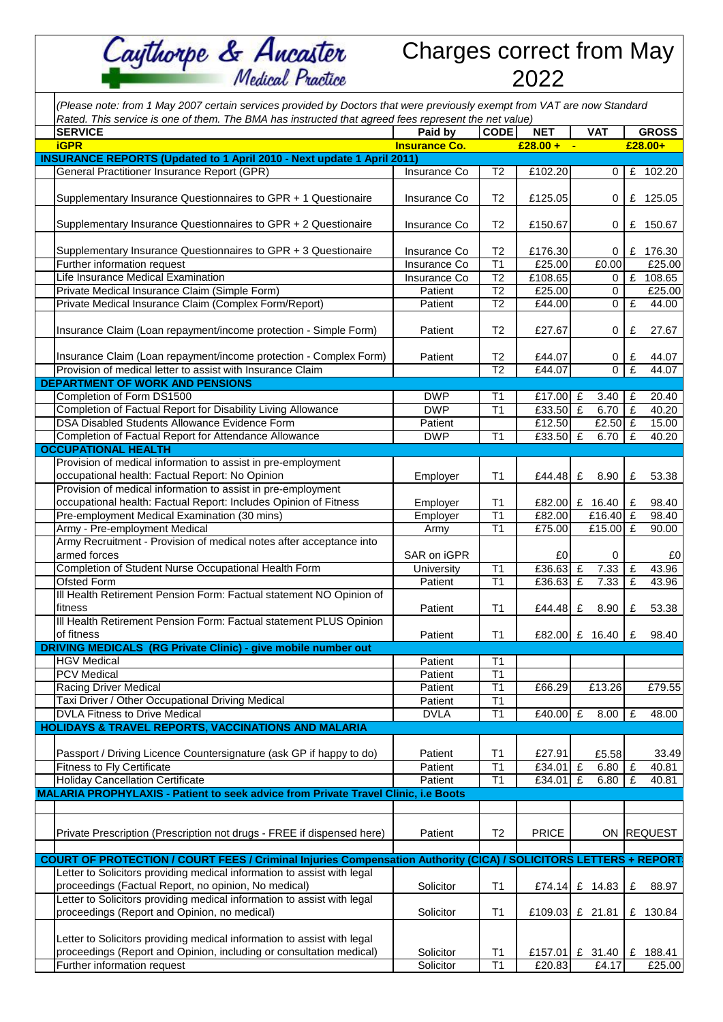Charges correct from May 2022

| (Please note: from 1 May 2007 certain services provided by Doctors that were previously exempt from VAT are now Standard<br>Rated. This service is one of them. The BMA has instructed that agreed fees represent the net value) |                      |                       |              |                              |                               |  |  |  |  |  |  |
|----------------------------------------------------------------------------------------------------------------------------------------------------------------------------------------------------------------------------------|----------------------|-----------------------|--------------|------------------------------|-------------------------------|--|--|--|--|--|--|
| <b>SERVICE</b>                                                                                                                                                                                                                   | Paid by              | <b>CODE</b>           | <b>NET</b>   | <b>VAT</b>                   | <b>GROSS</b>                  |  |  |  |  |  |  |
| <b>iGPR</b>                                                                                                                                                                                                                      | <b>Insurance Co.</b> |                       | $£28.00 + -$ |                              | £28.00+                       |  |  |  |  |  |  |
| <b>INSURANCE REPORTS (Updated to 1 April 2010 - Next update 1 April 2011)</b>                                                                                                                                                    |                      |                       |              |                              |                               |  |  |  |  |  |  |
| General Practitioner Insurance Report (GPR)                                                                                                                                                                                      | Insurance Co         | T <sub>2</sub>        | £102.20      | 0                            | £ 102.20                      |  |  |  |  |  |  |
| Supplementary Insurance Questionnaires to GPR + 1 Questionaire                                                                                                                                                                   | <b>Insurance Co</b>  | T2                    | £125.05      | 0                            | £ 125.05                      |  |  |  |  |  |  |
| Supplementary Insurance Questionnaires to GPR + 2 Questionaire                                                                                                                                                                   | Insurance Co         | T <sub>2</sub>        | £150.67      | 0                            | £ 150.67                      |  |  |  |  |  |  |
| Supplementary Insurance Questionnaires to GPR + 3 Questionaire                                                                                                                                                                   | Insurance Co         | T <sub>2</sub>        | £176.30      | 0                            | £ 176.30                      |  |  |  |  |  |  |
| Further information request                                                                                                                                                                                                      | Insurance Co         | T1                    | £25.00       | £0.00                        | £25.00                        |  |  |  |  |  |  |
| Life Insurance Medical Examination                                                                                                                                                                                               | <b>Insurance Co</b>  | T <sub>2</sub>        | £108.65      | 0                            | $\mathbf{f}$<br>108.65        |  |  |  |  |  |  |
| Private Medical Insurance Claim (Simple Form)                                                                                                                                                                                    | Patient              | $\overline{12}$       | £25.00       | $\mathbf{0}$                 | £25.00                        |  |  |  |  |  |  |
| Private Medical Insurance Claim (Complex Form/Report)                                                                                                                                                                            | Patient              | $\overline{12}$       | £44.00       | $\mathbf 0$                  | £<br>44.00                    |  |  |  |  |  |  |
| Insurance Claim (Loan repayment/income protection - Simple Form)                                                                                                                                                                 | Patient              | T <sub>2</sub>        | £27.67       | 0                            | £<br>27.67                    |  |  |  |  |  |  |
| Insurance Claim (Loan repayment/income protection - Complex Form)                                                                                                                                                                | Patient              | T <sub>2</sub>        | £44.07       | 0                            | £<br>44.07                    |  |  |  |  |  |  |
| Provision of medical letter to assist with Insurance Claim                                                                                                                                                                       |                      | $\overline{12}$       | £44.07       | $\overline{0}$               | E<br>44.07                    |  |  |  |  |  |  |
| <b>DEPARTMENT OF WORK AND PENSIONS</b>                                                                                                                                                                                           |                      |                       |              |                              |                               |  |  |  |  |  |  |
| Completion of Form DS1500                                                                                                                                                                                                        | <b>DWP</b>           | Τ1                    | £17.00 £     | $3.40$ $E$                   | 20.40                         |  |  |  |  |  |  |
| Completion of Factual Report for Disability Living Allowance                                                                                                                                                                     | <b>DWP</b>           | T <sub>1</sub>        | £33.50 $E$   | $6.70$ £                     | 40.20                         |  |  |  |  |  |  |
| DSA Disabled Students Allowance Evidence Form                                                                                                                                                                                    | Patient              |                       | £12.50       | £2.50 $E$                    | 15.00                         |  |  |  |  |  |  |
| Completion of Factual Report for Attendance Allowance                                                                                                                                                                            | <b>DWP</b>           | T1                    | $£33.50$ £   | 6.70                         | Ι£<br>40.20                   |  |  |  |  |  |  |
| <b>OCCUPATIONAL HEALTH</b>                                                                                                                                                                                                       |                      |                       |              |                              |                               |  |  |  |  |  |  |
| Provision of medical information to assist in pre-employment<br>occupational health: Factual Report: No Opinion                                                                                                                  | Employer             | T <sub>1</sub>        | £44.48       | £<br>8.90                    | £<br>53.38                    |  |  |  |  |  |  |
| Provision of medical information to assist in pre-employment                                                                                                                                                                     |                      |                       |              |                              |                               |  |  |  |  |  |  |
| occupational health: Factual Report: Includes Opinion of Fitness                                                                                                                                                                 | Employer             | T1<br>$\overline{T1}$ |              | £82.00 £ 16.40<br>£16.40 $E$ | £<br>98.40                    |  |  |  |  |  |  |
| Pre-employment Medical Examination (30 mins)                                                                                                                                                                                     | Employer             |                       | £82.00       |                              | 98.40                         |  |  |  |  |  |  |
| Army - Pre-employment Medical<br>Army Recruitment - Provision of medical notes after acceptance into<br>armed forces                                                                                                             | Army<br>SAR on iGPR  | T1                    | £75.00<br>£0 | £15.00 $E$<br>0              | 90.00                         |  |  |  |  |  |  |
| Completion of Student Nurse Occupational Health Form                                                                                                                                                                             |                      | $\overline{11}$       | £36.63       | $\overline{f}$<br>7.33       | £0<br>$\overline{f}$<br>43.96 |  |  |  |  |  |  |
| <b>Ofsted Form</b>                                                                                                                                                                                                               | University           | $\overline{11}$       | £36.63       | $\mathbf{f}$<br>7.33         | £                             |  |  |  |  |  |  |
| III Health Retirement Pension Form: Factual statement NO Opinion of<br>fitness                                                                                                                                                   | Patient<br>Patient   | T1                    | £44.48 £     | 8.90                         | 43.96<br>53.38<br>£           |  |  |  |  |  |  |
| III Health Retirement Pension Form: Factual statement PLUS Opinion<br>of fitness                                                                                                                                                 | Patient              | T <sub>1</sub>        |              | £82.00 £ 16.40               | £<br>98.40                    |  |  |  |  |  |  |
| DRIVING MEDICALS (RG Private Clinic) - give mobile number out                                                                                                                                                                    |                      |                       |              |                              |                               |  |  |  |  |  |  |
| <b>HGV Medical</b>                                                                                                                                                                                                               | Patient              | T <sub>1</sub>        |              |                              |                               |  |  |  |  |  |  |
| <b>PCV Medical</b>                                                                                                                                                                                                               | Patient              | T1                    |              |                              |                               |  |  |  |  |  |  |
| <b>Racing Driver Medical</b>                                                                                                                                                                                                     | Patient              | $\overline{11}$       | £66.29       | £13.26                       | £79.55                        |  |  |  |  |  |  |
| Taxi Driver / Other Occupational Driving Medical                                                                                                                                                                                 | Patient              | T1                    |              |                              |                               |  |  |  |  |  |  |
| <b>DVLA Fitness to Drive Medical</b>                                                                                                                                                                                             | <b>DVLA</b>          | T1                    | £40.00       | £<br>8.00                    | 48.00<br>£                    |  |  |  |  |  |  |
| <b>HOLIDAYS &amp; TRAVEL REPORTS, VACCINATIONS AND MALARIA</b>                                                                                                                                                                   |                      |                       |              |                              |                               |  |  |  |  |  |  |
| Passport / Driving Licence Countersignature (ask GP if happy to do)                                                                                                                                                              | Patient              | T1                    | £27.91       | £5.58                        | 33.49                         |  |  |  |  |  |  |
| <b>Fitness to Fly Certificate</b>                                                                                                                                                                                                | Patient              | T1                    | £34.01       | £<br>$6.80$ £                | 40.81                         |  |  |  |  |  |  |
| <b>Holiday Cancellation Certificate</b>                                                                                                                                                                                          | Patient              | T1                    | £34.01       | 6.80<br>£                    | £<br>40.81                    |  |  |  |  |  |  |
| MALARIA PROPHYLAXIS - Patient to seek advice from Private Travel Clinic, i.e Boots                                                                                                                                               |                      |                       |              |                              |                               |  |  |  |  |  |  |
|                                                                                                                                                                                                                                  |                      |                       |              |                              |                               |  |  |  |  |  |  |
| Private Prescription (Prescription not drugs - FREE if dispensed here)                                                                                                                                                           | Patient              | T <sub>2</sub>        | <b>PRICE</b> |                              | ON REQUEST                    |  |  |  |  |  |  |
| <b>COURT OF PROTECTION / COURT FEES / Criminal Injuries Compensation Authority (CICA) / SOLICITORS LETTERS + REPORT</b>                                                                                                          |                      |                       |              |                              |                               |  |  |  |  |  |  |
| Letter to Solicitors providing medical information to assist with legal<br>proceedings (Factual Report, no opinion, No medical)                                                                                                  | Solicitor            | T1                    | £74.14       | £ 14.83                      | £<br>88.97                    |  |  |  |  |  |  |
| Letter to Solicitors providing medical information to assist with legal                                                                                                                                                          |                      |                       |              |                              |                               |  |  |  |  |  |  |
| proceedings (Report and Opinion, no medical)                                                                                                                                                                                     | Solicitor            | T1                    | £109.03      | £ 21.81                      | £ 130.84                      |  |  |  |  |  |  |
| Letter to Solicitors providing medical information to assist with legal<br>proceedings (Report and Opinion, including or consultation medical)                                                                                   | Solicitor            | T1                    |              | £157.01 £ 31.40              | £ 188.41                      |  |  |  |  |  |  |
| Further information request                                                                                                                                                                                                      | Solicitor            | $\overline{11}$       | £20.83       | £4.17                        | £25.00                        |  |  |  |  |  |  |
|                                                                                                                                                                                                                                  |                      |                       |              |                              |                               |  |  |  |  |  |  |

Caythorpe & Ancaster